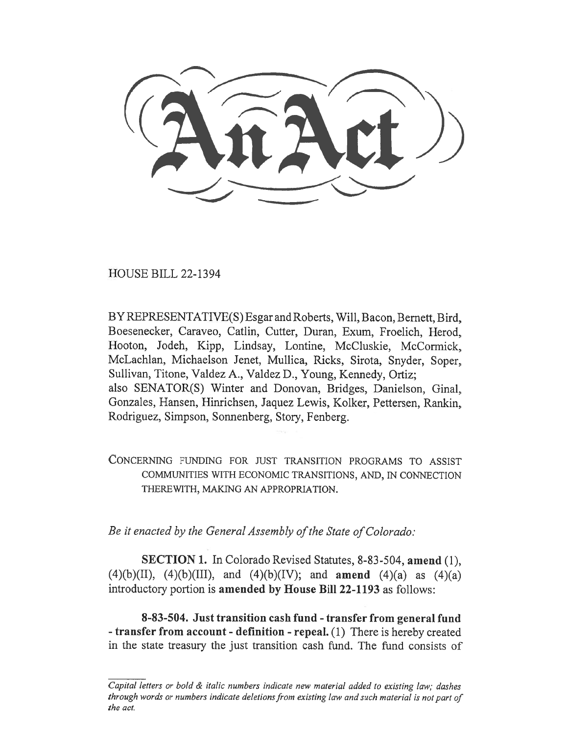HOUSE BILL 22-1394

BY REPRESENTATIVE(S) Esgar and Roberts, Will, Bacon, Bernett, Bird, Boesenecker, Caraveo, Catlin, Cutter, Duran, Exum, Froelich, Herod, Hooton, Jodeh, Kipp, Lindsay, Lontine, McCluskie, McCormick, McLachlan, Michaelson Jenet, Mullica, Ricks, Sirota, Snyder, Soper, Sullivan, Titone, Valdez A., Valdez D., Young, Kennedy, Ortiz; also SENATOR(S) Winter and Donovan, Bridges, Danielson, Ginal, Gonzales, Hansen, Hinrichsen, Jaquez Lewis, Kolker, Pettersen, Rankin, Rodriguez, Simpson, Sonnenberg, Story, Fenberg.

CONCERNING FUNDING FOR JUST TRANSITION PROGRAMS TO ASSIST COMMUNITIES WITH ECONOMIC TRANSITIONS, AND, IN CONNECTION THEREWITH, MAKING AN APPROPRIATION.

Be it enacted by the General Assembly of the State of Colorado:

SECTION 1. In Colorado Revised Statutes, 8-83-504, amend (1), (4)(b)(II), (4)(b)(III), and (4)(b)(IV); and **amend** (4)(a) as (4)(a) introductory portion is amended by House Bill 22-1193 as follows:

8-83-504. Just transition cash fund - transfer from general fund - transfer from account - definition - repeal. (1) There is hereby created in the state treasury the just transition cash fund. The fund consists of

Capital letters or bold  $\&$  italic numbers indicate new material added to existing law; dashes through words or numbers indicate deletions from existing law and such material is not part of the act.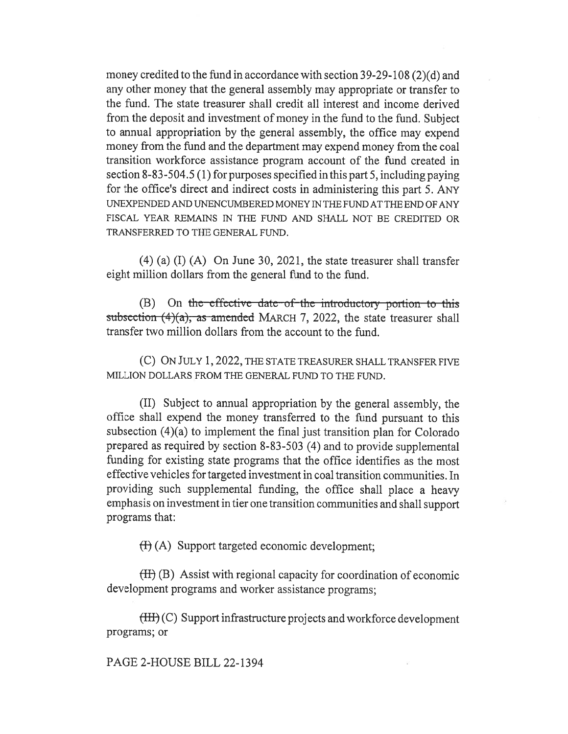money credited to the fund in accordance with section 39-29-108 (2)(d) and any other money that the general assembly may appropriate or transfer to the fund. The state treasurer shall credit all interest and income derived from the deposit and investment of money in the fund to the fund. Subject to annual appropriation by the general assembly, the office may expend money from the fund and the department may expend money from the coal transition workforce assistance program account of the fund created in section 8-83-504.5 (1) for purposes specified in this part 5, including paying for the office's direct and indirect costs in administering this part 5. ANY UNEXPENDED AND UNENCUMBERED MONEY IN THE FUND AT THE END OF ANY FISCAL YEAR REMAINS IN THE FUND AND SHALL NOT BE CREDITED OR TRANSFERRED TO THE GENERAL FUND.

(4) (a) (I) (A) On June 30, 2021, the state treasurer shall transfer eight million dollars from the general fund to the fund.

 $(B)$  On the effective date-of-the introductory portion to this subsection  $(4)(a)$ , as amended MARCH 7, 2022, the state treasurer shall transfer two million dollars from the account to the fund.

(C) ON JULY 1, 2022, THE STATE TREASURER SHALL TRANSFER FIVE MILLION DOLLARS FROM THE GENERAL FUND TO THE FUND.

(II) Subject to annual appropriation by the general assembly, the office shall expend the money transferred to the fund pursuant to this subsection (4)(a) to implement the final just transition plan for Colorado prepared as required by section 8-83-503 (4) and to provide supplemental funding for existing state programs that the office identifies as the most effective vehicles for targeted investment in coal transition communities. In providing such supplemental funding, the office shall place a heavy emphasis on investment in tier one transition communities and shall support programs that:

(I) (A) Support targeted economic development;

 $(H)$  (B) Assist with regional capacity for coordination of economic development programs and worker assistance programs;

(III) (C) Support infrastructure projects and workforce development programs; or

PAGE 2-HOUSE BILL 22-1394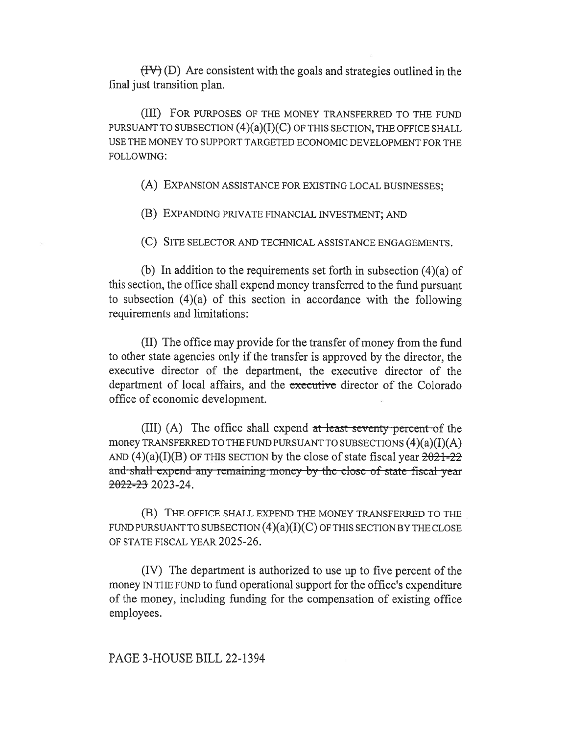$(HV)(D)$  Are consistent with the goals and strategies outlined in the final just transition plan.

(III) FOR PURPOSES OF THE MONEY TRANSFERRED TO THE FUND PURSUANT TO SUBSECTION  $(4)(a)(I)(C)$  OF THIS SECTION, THE OFFICE SHALL USE THE MONEY TO SUPPORT TARGETED ECONOMIC DEVELOPMENT FOR THE FOLLOWING:

(A) EXPANSION ASSISTANCE FOR EXISTING LOCAL BUSINESSES;

(B) EXPANDING PRIVATE FINANCIAL INVESTMENT; AND

(C) SITE SELECTOR AND TECHNICAL ASSISTANCE ENGAGEMENTS.

(b) In addition to the requirements set forth in subsection (4)(a) of this section, the office shall expend money transferred to the fund pursuant to subsection (4)(a) of this section in accordance with the following requirements and limitations:

(II) The office may provide for the transfer of money from the fund to other state agencies only if the transfer is approved by the director, the executive director of the department, the executive director of the department of local affairs, and the executive director of the Colorado office of economic development.

(III) (A) The office shall expend at least seventy percent of the money TRANSFERRED TO THE FUND PURSUANT TO SUBSECTIONS  $(4)(a)(I)(A)$ AND  $(4)(a)(I)(B)$  OF THIS SECTION by the close of state fiscal year  $2021-22$ and-shall expend any remaining money by the close-of state-fiscal year 2022-23 2023-24.

(B) THE OFFICE SHALL EXPEND THE MONEY TRANSFERRED TO THE FUND PURSUANT TO SUBSECTION  $(4)(a)(I)(C)$  OF THIS SECTION BY THE CLOSE OF STATE FISCAL YEAR 2025-26.

(IV) The department is authorized to use up to five percent of the money IN THE FUND to fund operational support for the office's expenditure of the money, including funding for the compensation of existing office employees.

PAGE 3-HOUSE BILL 22-1394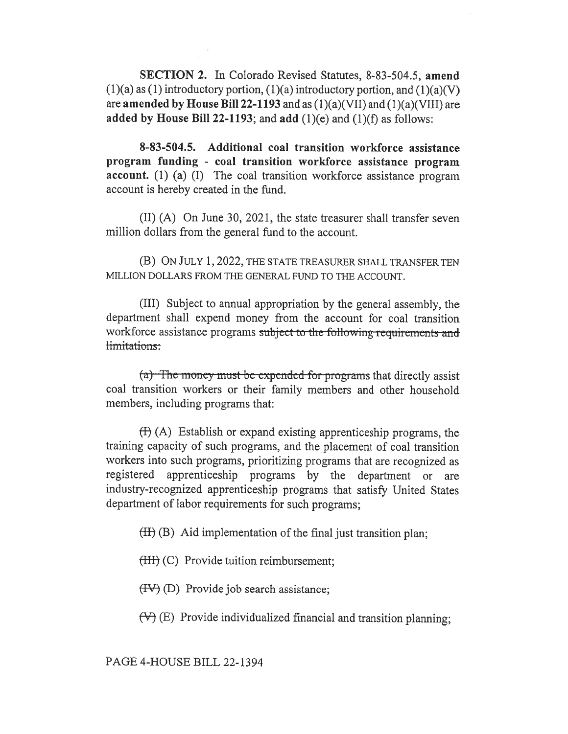SECTION 2. In Colorado Revised Statutes, 8-83-504.5, amend  $(1)(a)$  as  $(1)$  introductory portion,  $(1)(a)$  introductory portion, and  $(1)(a)(V)$ are **amended by House Bill 22-1193** and as  $(1)(a)(VII)$  and  $(1)(a)(VIII)$  are added by House Bill 22-1193; and add  $(1)(e)$  and  $(1)(f)$  as follows:

8-83-504.5. Additional coal transition workforce assistance program funding - coal transition workforce assistance program account. (1) (a) (I) The coal transition workforce assistance program account is hereby created in the fund.

(II) (A) On June 30, 2021, the state treasurer shall transfer seven million dollars from the general fund to the account.

(B) ON JULY 1, 2022, THE STATE TREASURER SHALL TRANSFER TEN MILLION DOLLARS FROM THE GENERAL FUND TO THE ACCOUNT.

(III) Subject to annual appropriation by the general assembly, the department shall expend money from the account for coal transition workforce assistance programs subject to the following requirements and limitations:

 $(a)$ . The money must-be-expended-for programs that directly assist coal transition workers or their family members and other household members, including programs that:

 $(H)$  (A) Establish or expand existing apprenticeship programs, the training capacity of such programs, and the placement of coal transition workers into such programs, prioritizing programs that are recognized as registered apprenticeship programs by the department or are industry-recognized apprenticeship programs that satisfy United States department of labor requirements for such programs;

 $(H)$  (B) Aid implementation of the final just transition plan;

(HI) (C) Provide tuition reimbursement;

 $(HV)$  (D) Provide job search assistance;

 $(\forall)$  (E) Provide individualized financial and transition planning;

PAGE 4-HOUSE BILL 22-1394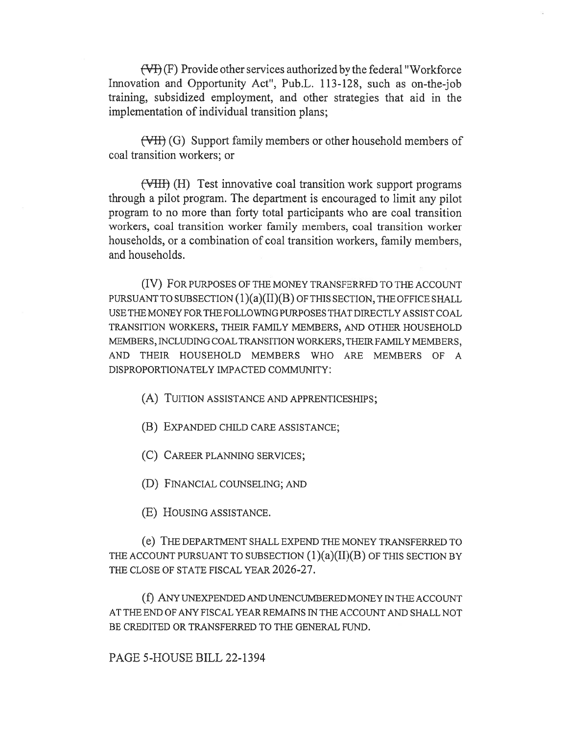$(\forall f)(F)$  Provide other services authorized by the federal "Workforce" Innovation and Opportunity Act", Pub.L. 113-128, such as on-the-job training, subsidized employment, and other strategies that aid in the implementation of individual transition plans;

(VII) (G) Support family members or other household members of coal transition workers; or

(VIII) (H) Test innovative coal transition work support programs through a pilot program. The department is encouraged to limit any pilot program to no more than forty total participants who are coal transition workers, coal transition worker family members, coal transition worker households, or a combination of coal transition workers, family members, and households.

(IV) FOR PURPOSES OF THE MONEY TRANSFERRED TO THE ACCOUNT PURSUANT TO SUBSECTION  $(1)(a)(II)(B)$  OF THIS SECTION, THE OFFICE SHALL USE THE MONEY FOR THE FOLLOWING PURPOSES THAT DIRECTLY ASSIST COAL TRANSITION WORKERS, THEIR FAMILY MEMBERS, AND OTHER HOUSEHOLD MEMBERS, INCLUDING COAL TRANSITION WORKERS, THEIR FAMILY MEMBERS, AND THEIR HOUSEHOLD MEMBERS WHO ARE MEMBERS OF A DISPROPORTIONATELY IMPACTED COMMUNITY:

(A) TUITION ASSISTANCE AND APPRENTICESHIPS;

(B) EXPANDED CHILD CARE ASSISTANCE;

(C) CAREER PLANNING SERVICES;

(D) FINANCIAL COUNSELING; AND

(E) HOUSING ASSISTANCE.

(e) THE DEPARTMENT SHALL EXPEND THE MONEY TRANSFERRED TO THE ACCOUNT PURSUANT TO SUBSECTION  $(1)(a)(II)(B)$  OF THIS SECTION BY THE CLOSE OF STATE FISCAL YEAR 2026-27.

(f) ANY UNEXPENDED AND UNENCUMBERED MONEY IN THE ACCOUNT AT THE END OF ANY FISCAL YEAR REMAINS IN THE ACCOUNT AND SHALL NOT BE CREDITED OR TRANSFERRED TO THE GENERAL FUND.

PAGE 5-HOUSE BILL 22-1394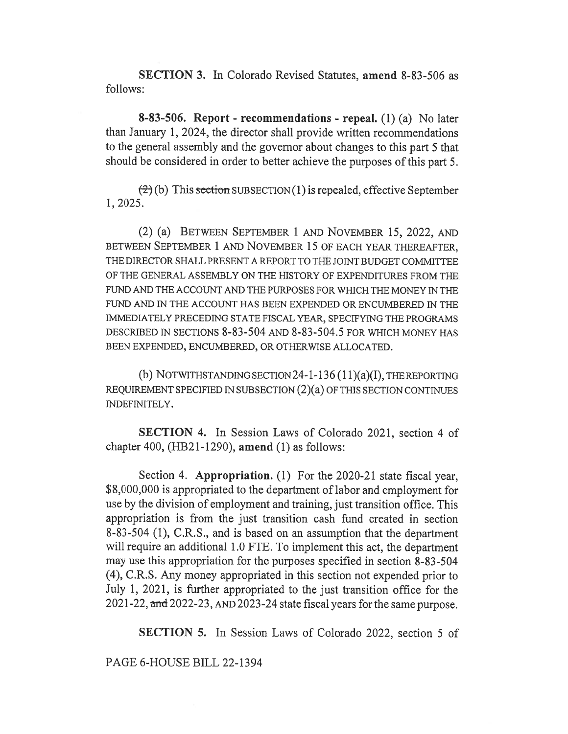SECTION 3. In Colorado Revised Statutes, amend 8-83-506 as follows:

8-83-506. Report - recommendations - repeal. (1) (a) No later than January 1, 2024, the director shall provide written recommendations to the general assembly and the governor about changes to this part 5 that should be considered in order to better achieve the purposes of this part 5.

 $(2)$  (b) This section SUBSECTION (1) is repealed, effective September 1, 2025.

(2) (a) BETWEEN SEPTEMBER 1 AND NOVEMBER 15, 2022, AND BETWEEN SEPTEMBER 1 AND NOVEMBER 15 OF EACH YEAR THEREAFTER, THE DIRECTOR SHALL PRESENT A REPORT TO THE JOINT BUDGET COMMITTEE OF THE GENERAL ASSEMBLY ON THE HISTORY OF EXPENDITURES FROM THE FUND AND THE ACCOUNT AND THE PURPOSES FOR WHICH THE MONEY IN THE FUND AND IN THE ACCOUNT HAS BEEN EXPENDED OR ENCUMBERED IN THE IMMEDIATELY PRECEDING STATE FISCAL YEAR, SPECIFYING THE PROGRAMS DESCRIBED IN SECTIONS 8-83-504 AND 8-83-504.5 FOR WHICH MONEY HAS BEEN EXPENDED, ENCUMBERED, OR OTHERWISE ALLOCATED.

(b) NOTWITHSTANDING SECTION 24-1-136 (11)(a)(I), THE REPORTING REQUIREMENT SPECIFIED IN SUBSECTION (2)(a) OF THIS SECTION CONTINUES INDEFINITELY.

SECTION 4. In Session Laws of Colorado 2021, section 4 of chapter 400, (HB21-1290), amend (1) as follows:

Section 4. **Appropriation.** (1) For the 2020-21 state fiscal year, \$8,000,000 is appropriated to the department of labor and employment for use by the division of employment and training, just transition office. This appropriation is from the just transition cash fund created in section 8-83-504 (1), C.R.S., and is based on an assumption that the department will require an additional 1.0 FTE. To implement this act, the department may use this appropriation for the purposes specified in section 8-83-504 (4), C.R.S. Any money appropriated in this section not expended prior to July 1, 2021, is further appropriated to the just transition office for the 2021-22, and 2022-23, AND 2023-24 state fiscal years for the same purpose.

SECTION 5. In Session Laws of Colorado 2022, section 5 of

PAGE 6-HOUSE BILL 22-1394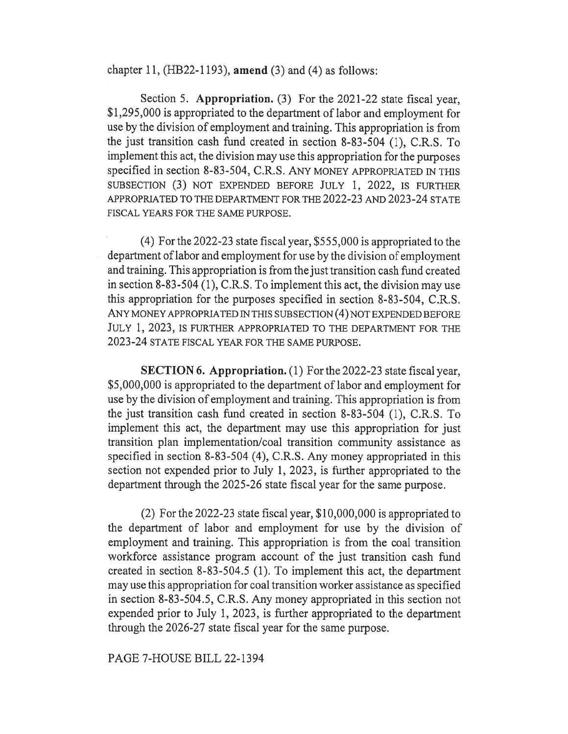chapter 11, (HB22-1193), amend (3) and (4) as follows:

Section 5. Appropriation. (3) For the 2021-22 state fiscal year, \$1,295,000 is appropriated to the department of labor and employment for use by the division of employment and training. This appropriation is from the just transition cash fund created in section 8-83-504 (1), C.R.S. To implement this act, the division may use this appropriation for the purposes specified in section 8-83-504, C.R.S. ANY MONEY APPROPRIATED IN THIS SUBSECTION (3) NOT EXPENDED BEFORE JULY 1, 2022, IS FURTHER APPROPRIATED TO THE DEPARTMENT FOR THE 2022-23 AND 2023-24 STATE FISCAL YEARS FOR THE SAME PURPOSE.

(4) For the 2022-23 state fiscal year, \$555,000 is appropriated to the department of labor and employment for use by the division of employment and training. This appropriation is from the just transition cash fund created in section 8-83-504 (1), C.R.S. To implement this act, the division may use this appropriation for the purposes specified in section 8-83-504, C.R.S. ANY MONEY APPROPRIATED IN THIS SUBSECTION (4) NOT EXPENDED BEFORE JULY 1, 2023, IS FURTHER APPROPRIATED TO THE DEPARTMENT FOR THE 2023-24 STATE FISCAL YEAR FOR THE SAME PURPOSE.

SECTION 6. Appropriation. (1) For the 2022-23 state fiscal year, \$5,000,000 is appropriated to the department of labor and employment for use by the division of employment and training. This appropriation is from the just transition cash fund created in section 8-83-504 (1), C.R.S. To implement this act, the department may use this appropriation for just transition plan implementation/coal transition community assistance as specified in section 8-83-504 (4), C.R.S. Any money appropriated in this section not expended prior to July 1, 2023, is further appropriated to the department through the 2025-26 state fiscal year for the same purpose.

(2) For the 2022-23 state fiscal year, \$10,000,000 is appropriated to the department of labor and employment for use by the division of employment and training. This appropriation is from the coal transition workforce assistance program account of the just transition cash fund created in section 8-83-504.5 (1). To implement this act, the department may use this appropriation for coal transition worker assistance as specified in section 8-83-504.5, C.R.S. Any money appropriated in this section not expended prior to July 1, 2023, is further appropriated to the department through the 2026-27 state fiscal year for the same purpose.

PAGE 7-HOUSE BILL 22-1394